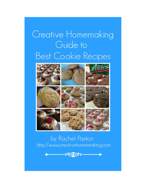# Creative Homemaking Guide to **Best Cookie Recipes**

















# by Rachel Paxton http://www.creativehomemaking.com

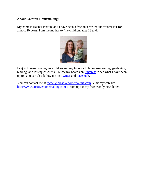#### **About Creative Homemaking:**

My name is Rachel Paxton, and I have been a freelance writer and webmaster for almost 20 years. I am the mother to five children, ages 28 to 6.



I enjoy homeschooling my children and my favorite hobbies are canning, gardening, reading, and raising chickens. Follow my boards on [Pinterest](http://pinterest.com/homemakingmom/) to see what I have been up to. You can also follow me on [Twitter](http://www.twitter.com/homemaking) and [Facebook.](http://www.facebook.com/pages/Creative-Homemaking/127198797321048)

You can contact me at [rachel@creativehomemaking.com.](mailto:rachel@creativehomemaking.com) Visit my web site [http://www.creativehomemaking.com](http://www.creativehomemaking.com/) to sign up for my free weekly newsletter.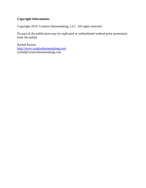# **Copyright Information:**

Copyright 2016, Creative Homemaking, LLC. All rights reserved.

No part of the publication may be replicated or redistributed without prior permission from the author.

Rachel Paxton [http://www.creativehomemaking.com](http://www.creativehomemaking.com/) rachel@creativehomemaking.com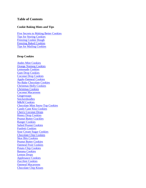#### **Table of Contents**

#### **Cookie Baking Hints and Tips**

<span id="page-3-0"></span>[Five Secrets to Making Better Cookies](#page-5-0) [Tips for Storing Cookies](#page-3-0) [Freezing Cookie Dough](#page-7-0) [Freezing Baked Cookies](#page-8-0) [Tips for Mailing Cookies](#page-9-0)

#### **Drop Cookies**

[Andes Mint Cookies](#page-10-0) [Orange Nutmeg Cookies](#page-11-0) [Lemonade Cookies](#page-12-0) [Gum Drop Cookies](#page-13-0) [Coconut Drop Cookies](#page-14-0) [Apple-Oatmeal Cookies](#page-15-0) [No-Bake Chocolate Cookies](#page-16-0) [Christmas Holly Cookies](#page-17-0) [Christmas Cookies](#page-18-0) [Coconut Macaroons](#page-19-0) **[Gingersnaps](#page-20-0)** [Snickerdoodles](#page-21-0) **[M&M Cookies](#page-22-0)** [Chocolate Mint Snow-Top Cookies](#page-23-0) [Candy Cane Kiss Cookies](#page-24-0) [Cherry Coconut Drops](#page-25-0) [Honey Drop Cookies](#page-26-0) [Peanut Butter Crackles](#page-27-0) [Ranger Cookies](#page-28-0) [Salted Peanut Cookies](#page-29-0) [Funfetti Cookies](#page-30-0) [Sour Cream Sugar Cookies](#page-31-0) [Chocolate Chip Cookies](#page-32-0) [Skor Bits Cookies](#page-33-0) [Peanut Butter Cookies](#page-34-0) [Oatmeal Fruit Cookies](#page-35-0) [Potato Chip Cookies](#page-36-0) [Banana Cookies](#page-37-0) [Lemon Drops](#page-38-0) [Applesauce Cookies](#page-39-0) [Zucchini Cookies](#page-40-0) [Oatmeal Macaroons](#page-41-0) [Chocolate Chip Kisses](#page-42-0)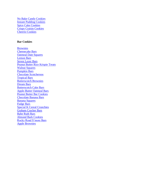[No Bake Candy Cookies](#page-43-0) [Instant Pudding Cookies](#page-44-0) [Spice Cake Cookies](#page-45-0) [Crispy Craisin Cookies](#page-46-0) [Cheerio Cookies](#page-47-0)

#### **Bar Cookies**

[Brownies](#page-48-0) [Cheesecake Bars](#page-49-0) [Oatmeal Date Squares](#page-50-0) [Lemon Bars](#page-51-0) [Seven Layer Bars](#page-52-0) [Peanut Butter Rice Krispie Treats](#page-53-0) [Walnut Squares](#page-54-0) [Pumpkin Bars](#page-55-0) [Chocolate Scotcheroos](#page-56-0) [Tropical Bars](#page-57-0) [Butterscotch Brownies](#page-58-0) [Dream Bars](#page-59-0) [Butterscotch Cake Bars](#page-60-0) [Apple-Butter Oatmeal Bars](#page-61-0) Peanut [Butter Bar Cookies](#page-62-0) [Chocolate Banana Bars](#page-63-0) [Banana Squares](#page-64-0) [Fudge Bars](#page-65-0) [Special K Cereal Crunchies](#page-66-0) [Graham Cracker Bars](#page-67-0) [Babe Ruth Bars](#page-68-0) [Almond Bark Cookies](#page-69-0) [Rocky Road S'more Bars](#page-70-0) [Apple Brownies](#page-71-0)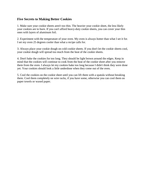#### <span id="page-5-0"></span>**Five Secrets to Making Better Cookies**

1. Make sure your cookie sheets aren't too thin. The heavier your cookie sheet, the less likely your cookies are to burn. If you can't afford heavy-duty cookie sheets, you can cover your thin ones with layers of aluminum foil.

2. Experiment with the temperature of your oven. My oven is always hotter than what I set it for. I set my oven 25 degrees cooler than what a recipe calls for.

3. Always place your cookie dough on cold cookie sheets. If you don't let the cookie sheets cool, your cookie dough will spread too much from the heat of the cookie sheets.

4. Don't bake the cookies for too long. They should be light brown around the edges. Keep in mind that the cookies will continue to cook from the heat of the cookie sheet after you remove them from the oven. I always let my cookies bake too long because I didn't think they were done yet. Your cookies should look a little underdone when they come out of the oven.

5. Cool the cookies on the cookie sheet until you can lift them with a spatula without breaking them. Cool them completely on wire racks, if you have some, otherwise you can cool them on paper towels or waxed paper.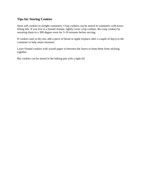#### **Tips for Storing Cookies**

Store soft cookies in airtight containers. Crisp cookies can be stored in containers with loosefitting lids. If you live in a humid climate, tightly cover crisp cookies. Re-crisp cookies by warming them in a 300 degree oven for 5-10 minutes before serving.

If cookies start to dry out, add a piece of bread or apple (replace after a couple of days) to the container to help retain moisture.

Layer frosted cookies with waxed paper in between the layers to keep them from sticking together.

Bar cookies can be stored in the baking pan with a tight lid.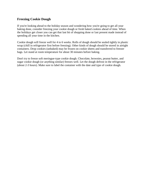#### <span id="page-7-0"></span>**Freezing Cookie Dough**

If you're looking ahead to the holiday season and wondering how you're going to get all your baking done, consider freezing your cookie dough or fresh baked cookies ahead of time. When the holidays get closer you can get that last bit of shopping done or last present made instead of spending all your time in the kitchen.

Cookie dough will freeze well for 4 to 6 weeks. Rolls of dough should be sealed tightly in plastic wrap (chill in refrigerator first before freezing). Other kinds of dough should be stored in airtight containers. Drop cookies (unbaked) may be frozen on cookie sheets and transferred to freezer bags. Let stand at room temperature for about 30 minutes before baking.

Don't try to freeze soft meringue-type cookie dough. Chocolate, brownies, peanut butter, and sugar cookie dough (or anything similar) freezes well. Let the dough defrost in the refrigerator (about 2-3 hours). Make sure to label the container with the date and type of cookie dough.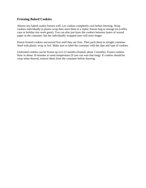#### <span id="page-8-0"></span>**Freezing Baked Cookies**

Almost any baked cookie freezes well. Let cookies completely cool before freezing. Wrap cookies individually in plastic wrap then store them in a ziploc freezer bag or storage tin (coffee cans or holiday tins work great). You can also just layer the cookies between layers of waxed paper in the container, but the individually wrapped ones will store longer.

Freeze frosted cookies uncovered first until they are firm. Then pack them in airtight container lined with plastic wrap or foil. Make sure to label the container with the date and type of cookies.

Unfrosted cookies can be frozen up to 6-12 months (frosted, about 3 months). Frozen cookies thaw in about 10 minutes at room temperature (if you can wait that long). If cookies should be crisp when thawed, remove them from the container before thawing.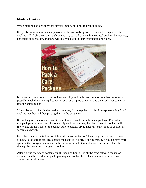#### <span id="page-9-0"></span>**Mailing Cookies**

When mailing cookies, there are several important things to keep in mind.

First, it is important to select a type of cookie that holds up well in the mail. Crisp or brittle cookies will likely break during shipment. Try to mail cookies like oatmeal cookies, bar cookies, chocolate chip cookies, and they will likely make it to their recipient in one piece.



It is also important to wrap the cookies well. Try to double box them to keep them as safe as possible. Pack them in a rigid container such as a ziploc container and then pack that container into the shipping box.

When placing cookies in the smaller container, first wrap them in plastic wrap, wrapping 2 to 3 cookies together and then placing them in the container.

It is not a good idea to pack two different kinds of cookies in the same package. For instance if you pack peanut butter and chocolate chip cookies together, the chocolate chip cookies will likely take on the flavor of the peanut butter cookies. Try to keep different kinds of cookies as separate as possible.

Pack the container as full as possible so that the cookies don't have very much room to move around. Less room means less chance the cookies will break during transit. If you do have extra space in the storage container, crumble up some small pieces of waxed paper and place them in the gaps between the packages of cookies.

After placing the ziploc container in the packing box, fill in all the gaps between the ziploc container and box with crumpled up newspaper so that the ziploc container does not move around during shipment.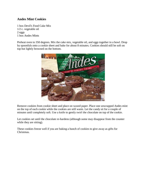#### <span id="page-10-0"></span>**Andes Mint Cookies**

1 box Devil's Food Cake Mix 1/2 c. vegetable oil 2 eggs 1 box Andes Mints

Preheat oven to 350 degrees. Mix the cake mix, vegetable oil, and eggs together in a bowl. Drop by spoonfuls onto a cookie sheet and bake for about 8 minutes. Cookies should still be soft on top but lightly browned on the bottom.



Remove cookies from cookie sheet and place on waxed paper. Place one unwrapped Andes mint on the top of each cookie while the cookies are still warm. Let the candy sit for a couple of minutes until completely soft. Use a knife to gently swirl the chocolate on top of the cookie.

Let cookies set until the chocolate re-hardens (although some may disappear from the counter while they are sitting).

These cookies freeze well if you are baking a bunch of cookies to give away as gifts for Christmas.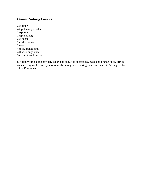# <span id="page-11-0"></span>**Orange Nutmeg Cookies**

2 c. flour 4 tsp. baking powder 1 tsp. salt 1 tsp. nutmeg 2 c. sugar 1 c. shortening 2 eggs 4 tbsp. orange rind 4 tbsp. orange juice 3 c. quick cooking oats

Sift flour with baking powder, sugar, and salt. Add shortening, eggs, and orange juice. Stir in oats, mixing well. Drop by teaspoonfuls onto greased baking sheet and bake at 350 degrees for 12 to 15 minutes.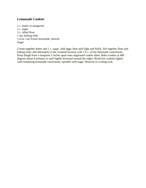#### <span id="page-12-0"></span>**Lemonade Cookies**

1 c. butter or margarine 1 c. sugar 3 c. sifted flour 1 tsp. baking soda 1 6-oz. can frozen lemonade, thawed Sugar

Cream together butter and 1 c. sugar. Add eggs; beat until light and fluffy. Sift together flour and baking soda; add alternately to the creamed mixture with 1/2 c. of the lemonade concentrate. Drop dough from a teaspoon 2 inches apart onto ungreased cookie sheet. Bake cookies at 400 degrees about 8 minutes or until lightly browned around the edges. Brush hot cookies lightly with remaining lemonade concentrate; sprinkle with sugar. Remove to cooling rack.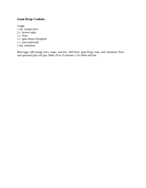# <span id="page-13-0"></span>**Gum Drop Cookies**

4 eggs 1 tsp. orange juice 2 c. brown sugar 2 c. flour 1 c. gum drops (chopped) 1 c. nuts (optional) 1 tsp. cinnamon

Beat eggs; add orange juice, sugar, and mix. Add flour, gum drops, nuts, and cinnamon. Pour onto greased jelly roll pan. Bake 20 to 25 minutes. Cut while still hot.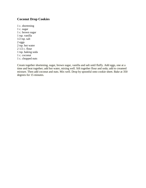#### <span id="page-14-0"></span>**Coconut Drop Cookies**

1 c. shortening 1 c. sugar 1 c. brown sugar 1 tsp. vanilla  $1/2$  tsp. salt 2 eggs 2 tsp. hot water 2 1/2 c. flour 1 tsp. baking soda 1 c. coconut 1 c. chopped nuts

Cream together shortening, sugar, brown sugar, vanilla and salt until fluffy. Add eggs, one at a time and beat together; add hot water, mixing well. Sift together flour and soda; add to creamed mixture. Then add coconut and nuts. Mix well. Drop by spoonful onto cookie sheet. Bake at 350 degrees for 15 minutes.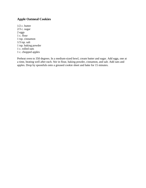# <span id="page-15-0"></span>**Apple Oatmeal Cookies**

1/2 c. butter 2/3 c. sugar 2 eggs 1 c. flour 1 tsp. cinnamon  $1/3$  tsp. salt 1 tsp. baking powder 1 c. rolled oats 1 c. chopped apples

Preheat oven to 350 degrees. In a medium-sized bowl, cream butter and sugar. Add eggs, one at a time, beating well after each. Stir in flour, baking powder, cinnamon, and salt. Add oats and apples. Drop by spoonfuls onto a greased cookie sheet and bake for 15 minutes.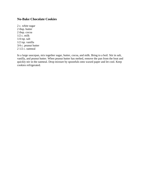#### <span id="page-16-0"></span>**No-Bake Chocolate Cookies**

2 c. white sugar 2 tbsp. butter 2 tbsp. cocoa  $1/2$  c. milk 1/4 tsp. salt 1/2 tsp. vanilla 3/4 c. peanut butter 2 1/2 c. oatmeal

In a large saucepan, mix together sugar, butter, cocoa, and milk. Bring to a boil. Stir in salt, vanilla, and peanut butter. When peanut butter has melted, remove the pan from the heat and quickly stir in the oatmeal. Drop mixture by spoonfuls onto waxed paper and let cool. Keep cookies refrigerated.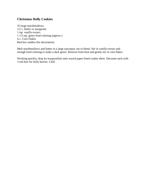#### <span id="page-17-0"></span>**Christmas Holly Cookies**

35 large marshmallows 1/2 c. butter or margarine 1 tsp. vanilla extract 1 1/2 tsp. green food coloring (approx.) 4 c. Corn Flakes Red hot candies (for decoration)

Melt marshmallows and butter in a large saucepan; stir to blend. Stir in vanilla extract and enough food coloring to make a dark green. Remove from heat and gently stir in corn flakes.

Working quickly, drop by teaspoonfuls onto waxed paper-lined cookie sheet. Decorate each with 3 red hots for holly berries. Chill.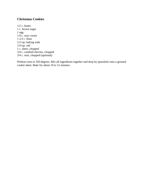#### <span id="page-18-0"></span>**Christmas Cookies**

1/2 c. butter 1 c. brown sugar 1 egg 1/4 c. sour cream 1 2/3 c. flour 1/2 tsp. baking soda 1/4 tsp. salt 1 c. dates, chopped 3/4 c. candied cherries, chopped 3/4 c. nuts, chopped (optional)

Preheat oven to 350 degrees. Mix all ingredients together and drop by spoonfuls onto a greased cookie sheet. Bake for about 10 to 12 minutes.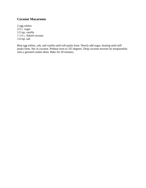#### <span id="page-19-0"></span>**Coconut Macaroons**

2 egg whites  $2/3$  c. sugar 1/2 tsp. vanilla 1 1/3 c. flaked coconut 1/4 tsp. salt

Beat egg whites, salt, and vanilla until soft peaks form. Slowly add sugar, beating until stiff peaks form. Stir in coconut. Preheat oven to 325 degrees. Drop coconut mixture by teaspoonfuls onto a greased cookie sheet. Bake for 20 minutes.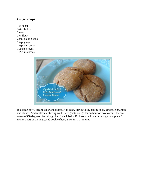#### <span id="page-20-0"></span>**Gingersnaps**

1 c. sugar 3/4 c. butter 2 eggs 3 c. flour 2 tsp. baking soda 1 tsp. ginger 1 tsp. cinnamon  $1/2$  tsp. cloves 1/2 c. molasses



In a large bowl, cream sugar and butter. Add eggs. Stir in flour, baking soda, ginger, cinnamon, and cloves. Add molasses, stirring well. Refrigerate dough for an hour or two to chill. Preheat oven to 350 degrees. Roll dough into 1-inch balls. Roll each ball in a little sugar and place 2 inches apart on an ungreased cookie sheet. Bake for 10 minutes.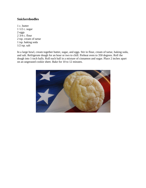#### <span id="page-21-0"></span>**Snickerdoodles**

1 c. butter 1 1/2 c. sugar 2 eggs 2 3/4 c. flour 2 tsp. cream of tartar 1 tsp. baking soda 1/2 tsp. salt

In a large bowl, cream together butter, sugar, and eggs. Stir in flour, cream of tartar, baking soda, and salt. Refrigerate dough for an hour or two to chill. Preheat oven to 350 degrees. Roll the dough into 1-inch balls. Roll each ball in a mixture of cinnamon and sugar. Place 2 inches apart on an ungreased cookie sheet. Bake for 10 to 12 minutes.

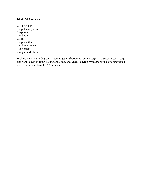#### <span id="page-22-0"></span>**M & M Cookies**

2 1/4 c. flour 1 tsp. baking soda 1 tsp. salt 1 c. butter 2 eggs 2 tsp. vanilla 1 c. brown sugar 1/2 c. sugar 2 c. plain M&M's

Preheat oven to 375 degrees. Cream together shortening, brown sugar, and sugar. Beat in eggs and vanilla. Stir in flour, baking soda, salt, and M&M's. Drop by teaspoonfuls onto ungreased cookie sheet and bake for 10 minutes.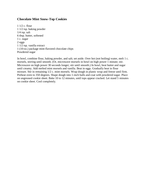#### <span id="page-23-0"></span>**Chocolate Mint Snow-Top Cookies**

1 1/2 c. flour 1 1/2 tsp. baking powder 1/4 tsp. salt 6 tbsp. butter, softened 1 c. sugar 2 eggs 1 1/2 tsp. vanilla extract 1 (10-oz.) package mint-flavored chocolate chips Powdered sugar

In bowl, combine flour, baking powder, and salt; set aside. Over hot (not boiling) water, melt 1 c. morsels, stirring until smooth. (Or, microwave morsels in bowl on high power 1 minute; stir. Microwave on high power 30 seconds longer; stir until smooth.) In bowl, beat butter and sugar until creamy. Add melted mint morsels and vanilla. Beat in eggs. Gradually beat in flour mixture. Stir in remaining 1/2 c. mint morsels. Wrap dough in plastic wrap and freeze until firm. Preheat oven to 350 degrees. Shape dough into 1-inch balls and coat with powdered sugar. Place on ungreased cookie sheet. Bake 10 to 12 minutes, until tops appear cracked. Let stand 5 minutes on cookie sheet. Cool completely.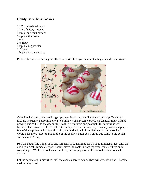#### <span id="page-24-0"></span>**Candy Cane Kiss Cookies**

1 1/2 c. powdered sugar 1 1/4 c. butter, softened 1 tsp. peppermint extract 1 tsp. vanilla extract 1 egg 3 c. flour 1 tsp. baking powder 1/2 tsp. salt 1 bag candy cane Kisses

Preheat the oven to 350 degrees. Have your kids help you unwrap the bag of candy cane kisses.



Combine the butter, powdered sugar, peppermint extract, vanilla extract, and egg. Beat until mixture is creamy, approximately 2 to 3 minutes. In a separate bowl, stir together flour, baking powder, and salt. Add the dry mixture to the wet mixture and beat until the mixture is well blended. The mixture will be a little bit crumbly, but that is okay. If you want you can chop up a few of the peppermint kisses and stir in them in the dough. I decided not to do that so that I would have more kisses to put on top of the cookies, but if you want to add some to the dough, stir in about 1/2 cup.

Roll the dough into 1 inch balls and roll them in sugar. Bake for 10 to 12 minutes or just until the cookies are set. Immediately after you remove the cookies from the oven, transfer them on to waxed paper. While the cookies are still hot, press a peppermint kiss into the center of each cookie.

Let the cookies sit undisturbed until the candies harden again. They will get soft but will harden again as they cool.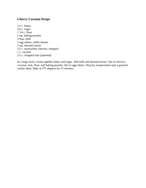#### <span id="page-25-0"></span>**Cherry Coconut Drops**

1/2 c. butter 3/4 c. sugar 1 3/4 c. flour 1 tsp. baking powder 2 tbsp. milk 2 egg whites, stiffly beaten 2 tsp. almond extract 1/2 c. maraschino cherries, chopped 1 c. coconut 1/2 c. chopped nuts (optional)

In a large bowl, cream together butter and sugar. Add milk and almond extract. Stir in cherries, coconut, nuts, flour, and baking powder. Stir in egg whites. Drop by teaspoonfuls onto a greased cookie sheet. Bake at 375 degrees for 15 minutes.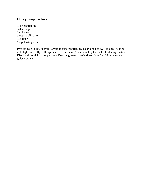#### <span id="page-26-0"></span>**Honey Drop Cookies**

3/4 c. shortening 3 tbsp. sugar 1 c. honey 3 eggs, well beaten 3 c. flour 1 tsp. baking soda

Preheat oven to 400 degrees. Cream together shortening, sugar, and honey, Add eggs, beating until light and fluffy. Sift together flour and baking soda, mix together with shortening mixture. Blend well. Add 1 c. chopped nuts. Drop on greased cookie sheet. Bake 5 to 10 minutes, until golden brown.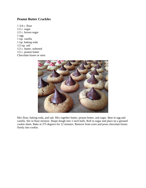#### <span id="page-27-0"></span>**Peanut Butter Crackles**

1 3/4 c. flour  $1/2$  c. sugar 1/2 c. brown sugar 1 egg 1 tsp. vanilla 1 tsp. baking soda 1/2 tsp. salt 1/2 c. butter, softened 1/2 c. peanut butter Chocolate kisses or stars



Mix flour, baking soda, and salt. Mix together butter, peanut butter, and sugar. Beat in egg and vanilla. Stir in flour mixture. Shape dough into 1-inch balls. Roll in sugar and place on a greased cookie sheet. Bake at 375 degrees for 12 minutes. Remove from oven and press chocolate kisses firmly into cookie.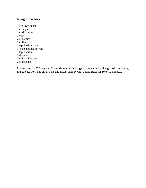# <span id="page-28-0"></span>**Ranger Cookies**

1 c. brown sugar 1 c. sugar 1 c. shortening 2 eggs 2 c. oatmeal 2 c. flour 1 tsp. baking soda 1/4 tsp. baking powder 1 tsp. vanilla  $1/4$  tsp. salt 2 c. Rice Krispies 2 c. coconut

Preheat oven to 350 degrees. Cream shortening and sugars together and add eggs. Add remaining ingredients. Roll into small balls and flatten slightly with a fork. Bake for 10 to 12 minutes.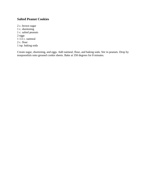#### <span id="page-29-0"></span>**Salted Peanut Cookies**

2 c. brown sugar 1 c. shortening 1 c. salted peanuts 2 eggs  $1\frac{1}{2}$  c. oatmeal 2 c. flour 1 tsp. baking soda

Cream sugar, shortening, and eggs. Add oatmeal, flour, and baking soda. Stir in peanuts. Drop by teaspoonfuls onto greased cookie sheets. Bake at 350 degrees for 8 minutes.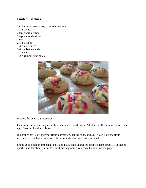#### <span id="page-30-0"></span>**Funfetti Cookies**

1 c. butter or margarine, room temperature 1 1/4 c. sugar 2 tsp. vanilla extract 1 tsp. almond extract 1 egg  $2 \overline{1/2}$  c. flour 1/4 c. cornstarch 3/4 tsp. baking soda  $1/2$  tsp. salt 1/2 c. rainbow sprinkles



Preheat the oven to 375 degrees.

Cream the butter and sugar for about 2 minutes, until fluffy. Add the vanilla, almond extract, and egg. Beat until well combined.

In another bowl, sift together flour, cornstarch, baking soda, and salt. Slowly stir the flour mixture into the butter mixture. Stir in the sprinkles until just combined.

Shape cookie dough into small balls and place onto ungreased cookie sheets about 1 1/2 inches apart. Bake for about 9 minutes, until just beginning to brown. Cool on waxed paper.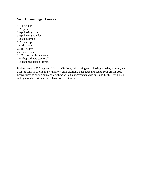#### <span id="page-31-0"></span>**Sour Cream Sugar Cookies**

4 1/2 c. flour  $1/2$  tsp. salt 1 tsp. baking soda 3 tsp. baking powder  $1/2$  tsp. nutmeg 1/2 tsp. allspice 1 c. shortening 2 eggs, beaten 2 c. sour cream 1 1/3 c. packed brown sugar 1 c. chopped nuts (optional) 1 c. chopped dates or raisins

Preheat oven to 350 degrees. Mix and sift flour, salt, baking soda, baking powder, nutmeg, and allspice. Mix in shortening with a fork until crumbly. Beat eggs and add to sour cream. Add brown sugar to sour cream and combine with dry ingredients. Add nuts and fruit. Drop by tsp. onto greased cookie sheet and bake for 16 minutes.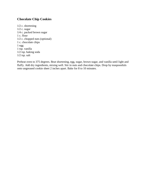#### <span id="page-32-0"></span>**Chocolate Chip Cookies**

1/2 c. shortening 1/2 c. sugar 1/4 c. packed brown sugar 1 c. flour 1/2 c. chopped nuts (optional) 1 c. chocolate chips 1 egg 1 tsp. vanilla 1/2 tsp. baking soda  $1/2$  tsp. salt

Preheat oven to 375 degrees. Beat shortening, egg, sugar, brown sugar, and vanilla until light and fluffy. Add dry ingredients, mixing well. Stir in nuts and chocolate chips. Drop by teaspoonfuls onto ungreased cookie sheet 2 inches apart. Bake for 8 to 10 minutes.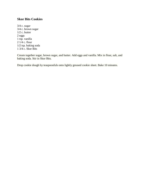#### <span id="page-33-0"></span>**Skor Bits Cookies**

3/4 c. sugar 3/4 c. brown sugar 1/2 c. butter 2 eggs 1 tsp. vanilla 2 1/4 c. flour 1/2 tsp. baking soda 1 3/4 c. Skor Bits

Cream together sugar, brown sugar, and butter. Add eggs and vanilla. Mix in flour, salt, and baking soda. Stir in Skor Bits.

Drop cookie dough by teaspoonfuls onto lightly greased cookie sheet. Bake 10 minutes.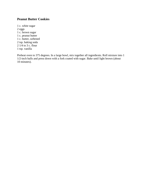#### <span id="page-34-0"></span>**Peanut Butter Cookies**

1 c. white sugar 2 eggs 1 c. brown sugar 1 c. peanut butter 1 c. butter, softened 2 tsp. baking soda 2 1/4 to 3 c. flour 1 tsp. vanilla

Preheat oven to 375 degrees. In a large bowl, mix together all ingredients. Roll mixture into 1 1/2-inch balls and press down with a fork coated with sugar. Bake until light brown (about 10 minutes).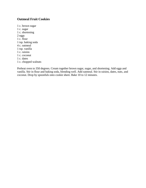#### <span id="page-35-0"></span>**Oatmeal Fruit Cookies**

1 c. brown sugar 1 c. sugar 1 c. shortening 2 eggs 1 c. flour 1 tsp. baking soda 4 c. oatmeal 1 tsp. vanilla 1 c. raisins 1 c. coconut 1 c. dates 1 c. chopped walnuts

Preheat oven to 350 degrees. Cream together brown sugar, sugar, and shortening. Add eggs and vanilla. Stir in flour and baking soda, blending well. Add oatmeal. Stir in raisins, dates, nuts, and coconut. Drop by spoonfuls onto cookie sheet. Bake 10 to 12 minutes.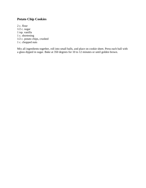# **Potato Chip Cookies**

2 c. flour 1/2 c. sugar 1 tsp. vanilla 1 c. shortening 1/2 c. potato chips, crushed 1 c. chopped nuts

Mix all ingredients together, roll into small balls, and place on cookie sheet. Press each ball with a glass dipped in sugar. Bake at 350 degrees for 10 to 12 minutes or until golden brown.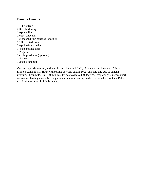#### **Banana Cookies**

1 1/4 c. sugar 2/3 c. shortening 1 tsp. vanilla 2 eggs, unbeaten 1 c. mashed ripe bananas (about 3) 2 1/4 c. sifted flour 2 tsp. baking powder 1/4 tsp. baking soda 1/2 tsp. salt 1 c. chopped nuts (optional) 1/4 c. sugar 1/2 tsp. cinnamon

Cream sugar, shortening, and vanilla until light and fluffy. Add eggs and beat well. Stir in mashed bananas. Sift flour with baking powder, baking soda, and salt, and add to banana mixture. Stir in nuts. Chill 30 minutes. Preheat oven to 400 degrees. Drop dough 2 inches apart on greased baking sheets. Mix sugar and cinnamon, and sprinkle over unbaked cookies. Bake 8 to 10 minutes, until lightly browned.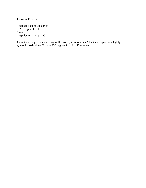# **Lemon Drops**

1 package lemon cake mix 1/2 c. vegetable oil 2 eggs 1 tsp. lemon rind, grated

Combine all ingredients, mixing well. Drop by teaspoonfuls 2 1/2 inches apart on a lightly greased cookie sheet. Bake at 350 degrees for 12 to 15 minutes.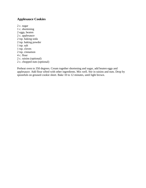# **Applesauce Cookies**

2 c. sugar 1 c. shortening 2 eggs, beaten 2 c. applesauce 2 tsp. baking soda 2 tsp. baking powder 1 tsp. salt 1 tsp. cloves 2 tsp. cinnamon 4 c. flour 2 c. raisins (optional) 2 c. chopped nuts (optional)

Preheat oven to 350 degrees. Cream together shortening and sugar, add beaten eggs and applesauce. Add flour sifted with other ingredients. Mix well. Stir in raisins and nuts. Drop by spoonfuls on greased cookie sheet. Bake 10 to 12 minutes, until light brown.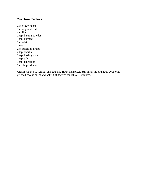## **Zucchini Cookies**

2 c. brown sugar 1 c. vegetable oil 4 c. flour 2 tsp. baking powder 1 tsp. nutmeg 2 c. raisins 1 egg 2 c. zucchini, grated 2 tsp. vanilla 2 tsp. baking soda 1 tsp. salt 1 tsp. cinnamon 1 c. chopped nuts

Cream sugar, oil, vanilla, and egg; add flour and spices. Stir in raisins and nuts. Drop onto greased cookie sheet and bake 350 degrees for 10 to 12 minutes.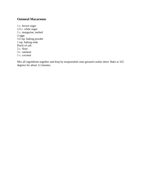### **Oatmeal Macaroons**

1 c. brown sugar 1/2 c. white sugar 1 c. margarine, melted 2 eggs 1/2 tsp. baking powder 1 tsp. baking soda Pinch of salt 2 c. flour 3 c. oatmeal 1 c. coconut

Mix all ingredients together and drop by teaspoonfuls onto greased cookie sheet. Bake at 325 degrees for about 12 minutes.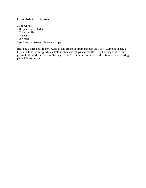#### **Chocolate Chip Kisses**

2 egg whites 1/8 tsp. cream of tartar 1/2 tsp. vanilla  $1/8$  tsp. salt 1/2 c. sugar 1 package semi-sweet chocolate chips

Beat egg whites until foamy. Add salt and cream of tartar and beat until stiff. Combine sugar, 2 tbsp. at a time, with egg whites. Fold in chocolate chips and vanilla. Drop by teaspoonfuls onto greased baking sheet. Bake at 300 degrees for 20 minutes. Don't over bake. Remove from baking pan while still warm.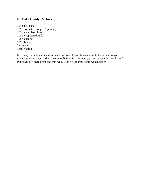## **No Bake Candy Cookies**

3 c. quick oats 1/2 c. walnuts, chopped (optional) 1/2 c. chocolate chips 1/2 c. evaporated milk 1/2 c. coconut 1/2 c. butter 2 c. sugar 1 tsp. vanilla

Mix oats, coconut, and walnuts in a large bowl. Cook chocolate, milk, butter, and sugar in saucepan. Cook over medium heat until boiling for 1 minute (stirring constantly). Add vanilla. Pour over dry ingredients and mix well. Drop by spoonfuls onto waxed paper.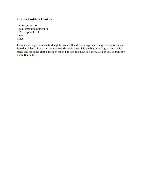# **Instant Pudding Cookies**

1 c. Bisquick mix 1 pkg. instant pudding mix  $1/2$  c. vegetable oil 1 egg Sugar

Combine all ingredients until dough forms a ball and sticks together. Using a teaspoon, shape into dough balls. Place onto an ungreased cookie sheet. Dip the bottom of a glass into white sugar and press the glass onto each mound of cookie dough to flatten. Bake at 350 degrees for about 8 minutes.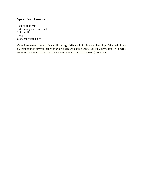# **Spice Cake Cookies**

1 spice cake mix 1/4 c. margarine, softened 1/3 c. milk 1 egg 6 oz. chocolate chips

Combine cake mix, margarine, milk and egg. Mix well. Stir in chocolate chips. Mix well. Place by teaspoonfuls several inches apart on a greased cookie sheet. Bake in a preheated 375 degree oven for 12 minutes. Cool cookies several minutes before removing from pan.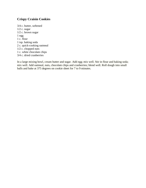# **Crispy Craisin Cookies**

3/4 c. butter, softened 1/2 c. sugar 1/2 c. brown sugar 1 egg 1 c. flour 1 tsp. baking soda 2 c. quick-cooking oatmeal 1/2 c. chopped nuts 1 c. white chocolate chips 3/4 c. dried cranberries

In a large mixing bowl, cream butter and sugar. Add egg; mix well. Stir in flour and baking soda; mix well. Add oatmeal, nuts, chocolate chips and cranberries; blend well. Roll dough into small balls and bake at 375 degrees on cookie sheet for 7 to 9 minutes.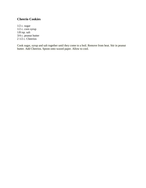### **Cheerio Cookies**

1/2 c. sugar 1/2 c. corn syrup 1/8 tsp. salt 3/4 c. peanut butter 2 1/2 c. Cheerios

Cook sugar, syrup and salt together until they come to a boil. Remove from heat. Stir in peanut butter. Add Cheerios. Spoon onto waxed paper. Allow to cool.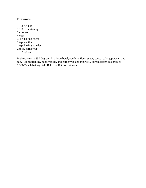#### **Brownies**

1 1/2 c. flour 1 1/3 c. shortening 2 c. sugar 4 eggs 3/4 c. baking cocoa 2 tsp. vanilla 1 tsp. baking powder 2 tbsp. corn syrup 1 1/2 tsp. salt

Preheat oven to 350 degrees. In a large bowl, combine flour, sugar, cocoa, baking powder, and salt. Add shortening, eggs, vanilla, and corn syrup and mix well. Spread batter in a greased 13x9x2-inch baking dish. Bake for 40 to 45 minutes.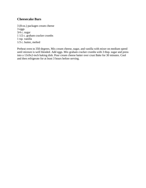#### **Cheesecake Bars**

3 (8-oz.) packages cream cheese 3 eggs 3/4 c. sugar 1 1/2 c. graham cracker crumbs 1 tsp. vanilla 1/3 c. butter, melted

Preheat oven to 350 degrees. Mix cream cheese, sugar, and vanilla with mixer on medium speed until mixture is well blended. Add eggs. Mix graham cracker crumbs with 3 tbsp. sugar and press into a 13x9x2-inch baking dish. Pour cream cheese batter over crust Bake for 30 minutes. Cool and then refrigerate for at least 3 hours before serving.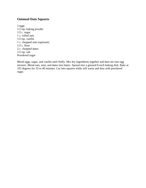#### **Oatmeal Date Squares**

2 eggs 1/2 tsp. baking powder 1/2 c. sugar 1 c. rolled oats 1/2 tsp. vanilla 1 c. chopped nuts (optional) 1/2 c. flour 2 c. chopped dates  $1/2$  tsp. salt Powdered sugar

Blend eggs, sugar, and vanilla until fluffy. Mix dry ingredients together and then stir into egg mixture. Blend oats, nuts, and dates into batter. Spread into a greased 8-inch baking dish. Bake at 325 degrees for 35 to 40 minutes. Cut into squares while still warm and dust with powdered sugar.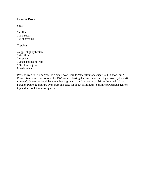#### **Lemon Bars**

Crust:

2 c. flour 1/2 c. sugar 1 c. shortening

Topping:

4 eggs, slightly beaten 1/4 c. flour 2 c. sugar 1/2 tsp. baking powder 1/3 c. lemon juice Powdered sugar

Preheat oven to 350 degrees. In a small bowl, mix together flour and sugar. Cut in shortening. Press mixture into the bottom of a 13x9x2-inch baking dish and bake until light brown (about 20 minutes). In another bowl, beat together eggs, sugar, and lemon juice. Stir in flour and baking powder. Pour egg mixture over crust and bake for about 35 minutes. Sprinkle powdered sugar on top and let cool. Cut into squares.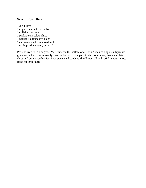### **Seven Layer Bars**

1/2 c. butter 1 c. graham cracker crumbs 1 c. flaked coconut 1 package chocolate chips 1 package butterscotch chips 1 can sweetened condensed milk 1 c. chopped walnuts (optional)

Preheat oven to 350 degrees. Melt butter in the bottom of a 13x9x2-inch baking dish. Sprinkle graham cracker crumbs evenly over the bottom of the pan. Add coconut next, then chocolate chips and butterscotch chips. Pour sweetened condensed milk over all and sprinkle nuts on top. Bake for 30 minutes.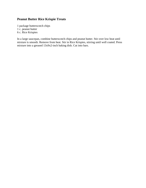# **Peanut Butter Rice Krispie Treats**

1 package butterscotch chips 1 c. peanut butter 6 c. Rice Krispies

In a large saucepan, combine butterscotch chips and peanut butter. Stir over low heat until mixture is smooth. Remove from heat. Stir in Rice Krispies, stirring until well coated. Press mixture into a greased 13x9x2-inch baking dish. Cut into bars.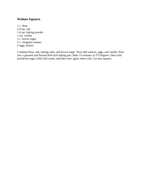#### **Walnut Squares**

1 c. flour 1/4 tsp. salt 1/4 tsp. baking powder 1 tsp. vanilla 2 c. brown sugar 2 c. chopped walnuts 2 eggs, beaten

Combine flour, salt, baking soda, and brown sugar. Next add walnuts, eggs, and vanilla. Pour into a greased and floured 8x8-inch baking pan. Bake 15 minutes at 375 degrees. Dust with powdered sugar while still warm, and then once again when cool. Cut into squares.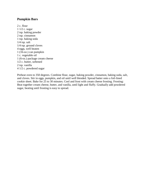#### **Pumpkin Bars**

2 c. flour 1 1/2 c. sugar 2 tsp. baking powder 2 tsp. cinnamon 1 tsp. baking soda  $1/4$  tsp. salt 1/4 tsp. ground cloves 4 eggs, well beaten 1 (16-oz.) can pumpkin 1 c. vegetable oil 1 (6-oz.) package cream cheese 1/2 c. butter, softened 2 tsp. vanilla 4 1/2 c. powdered sugar

Preheat oven to 350 degrees. Combine flour, sugar, baking powder, cinnamon, baking soda, salt, and cloves. Stir in eggs, pumpkin, and oil until well blended. Spread batter onto a foil-lined cookie sheet. Bake for 25 to 30 minutes. Cool and frost with cream cheese frosting. Frosting: Beat together cream cheese, butter, and vanilla, until light and fluffy. Gradually add powdered sugar, beating until frosting is easy to spread.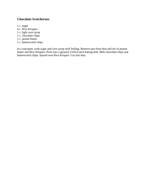### **Chocolate Scotcheroos**

1 c. sugar

- 6 c. Rice Krispies
- 1 c. light corn syrup
- 1 c. chocolate chips
- 1 c. peanut butter
- 1 c. butterscotch chips

In a saucepan, cook sugar and corn syrup until boiling. Remove pan from heat and stir in peanut butter and Rice Krispies. Press into a greased 13x9x2-inch baking dish. Melt chocolate chips and butterscotch chips. Spread over Rice Krispies. Cut into bars.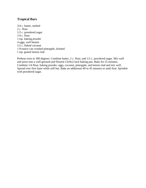### **Tropical Bars**

3/4 c. butter, melted 2 c. flour 1/2 c. powdered sugar  $1/4$  c. flour 1 tsp. baking powder 4 eggs, well beaten 1/2 c. flaked coconut 1 8-ounce can crushed pineapple, drained 1 tsp. grated lemon rind

Preheat oven to 300 degrees. Combine butter, 2 c. flour, and 1/2 c. powdered sugar. Mix well and press into a well-greased and floured 13x9x2-inch baking pan. Bake for 25 minutes. Combine 1/4 flour, baking powder, eggs, coconut, pineapple, and lemon rind and mix well. Spread over first layer while still hot. Bake an additional 40 to 45 minutes or until firm. Sprinkle with powdered sugar.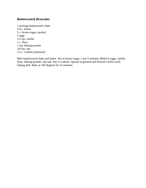#### **Butterscotch Brownies**

1 package butterscotch chips 1/4 c. butter 1 c. brown sugar, packed 2 eggs 1/2 tsp. vanilla 1 c. flour 1 tsp. baking powder 3/4 tsp. salt 1/2 c. walnuts (optional)

Melt butterscotch chips and butter. Stir in brown sugar. Cool 5 minutes. Blend in eggs, vanilla, flour, baking powder, and salt. Stir in walnuts. Spread in greased and floured 13x9x2-inch baking dish. Bake at 350 degrees for 25 minutes.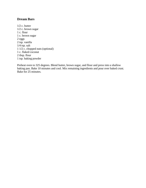## **Dream Bars**

1/2 c. butter 1/2 c. brown sugar 1 c. flour 1 c. brown sugar 2 eggs 2 tsp. vanilla 1/4 tsp. salt 1 1/2 c. chopped nuts (optional) 1 c. flaked coconut 2 tbsp. flour 1 tsp. baking powder

Preheat oven to 325 degrees. Blend butter, brown sugar, and flour and press into a shallow baking pan. Bake 10 minutes and cool. Mix remaining ingredients and pour over baked crust. Bake for 25 minutes.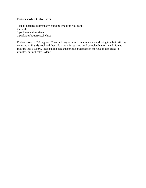### **Butterscotch Cake Bars**

1 small package butterscotch pudding (the kind you cook) 2 c. milk 1 package white cake mix 2 packages butterscotch chips

Preheat oven to 350 degrees. Cook pudding with milk in a saucepan and bring to a boil, stirring constantly. Slightly cool and then add cake mix, stirring until completely moistened. Spread mixture into a 13x9x2-inch baking pan and sprinkle butterscotch morsels on top. Bake 45 minutes, or until cake is done.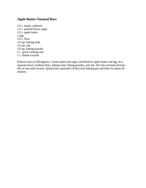### **Apple Butter-Oatmeal Bars**

1/2 c. butter, softened 1/2 c. packed brown sugar 1/2 c. apple butter 1 egg  $2/3$  c. flour 1/2 tsp. baking soda 1/2 tsp. salt 1/2 tsp. baking powder 1 c. quick cooking oats 1 c. flaked coconut

Preheat oven to 350 degrees. Cream butter and sugar, and blend in apple butter and egg. In a separate bowl, combine flour, baking soda, baking powder, and salt. Stir into creamed mixture. Stir in oats and coconut. Spread into a greased  $13x9x2$ -inch baking pan and bake for about 20 minutes.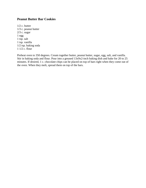### **Peanut Butter Bar Cookies**

1/2 c. butter 1/3 c. peanut butter 2/3 c. sugar 1 egg 1 tsp. salt 1 tsp. vanilla 1/2 tsp. baking soda 1 1/2 c. flour

Preheat oven to 350 degrees. Cream together butter, peanut butter, sugar, egg, salt, and vanilla. Stir in baking soda and flour. Pour into a greased 13x9x2-inch baking dish and bake for 20 to 25 minutes. If desired, 1 c. chocolate chips can be placed on top of bars right when they come out of the oven. When they melt, spread them on top of the bars.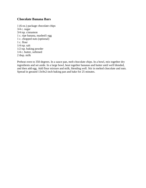#### **Chocolate Banana Bars**

1 (6-oz.) package chocolate chips 3/4 c. sugar 3/4 tsp. cinnamon 1 c. ripe banana, mashed1 egg 1 c. chopped nuts (optional) 1 c. flour 1/4 tsp. salt 1/2 tsp. baking powder 1/4 c. butter, softened 2 tbsp. milk

Preheat oven to 350 degrees. In a sauce pan, melt chocolate chips. In a bowl, mix together dry ingredients and set aside. In a large bowl, beat together bananas and butter until well blended, and then add egg. Add flour mixture and milk, blending well. Stir in melted chocolate and nuts. Spread in greased 13x9x2-inch baking pan and bake for 25 minutes.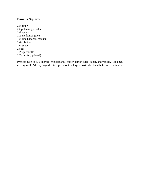## **Banana Squares**

2 c. flour 2 tsp. baking powder 1/4 tsp. salt 1/2 tsp. lemon juice 1 c. ripe bananas, mashed 1/4 c. butter 1 c. sugar 2 eggs  $1/2$  tsp. vanilla 1/2 c. nuts (optional)

Preheat oven to 375 degrees. Mix bananas, butter, lemon juice, sugar, and vanilla. Add eggs, mixing well. Add dry ingredients. Spread onto a large cookie sheet and bake for 15 minutes.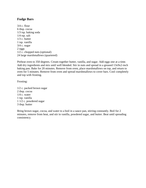#### **Fudge Bars**

3/4 c. flour 6 tbsp. cocoa 1/3 tsp. baking soda 1/4 tsp. salt 1/3 c. butter 1 tsp. vanilla 3/4 c. sugar 2 eggs 1/2 c. chopped nuts (optional) 24 large marshmallows (quartered)

Preheat oven to 350 degrees. Cream together butter, vanilla, and sugar. Add eggs one at a time. Add dry ingredients and mix until well blended. Stir in nuts and spread in a greased 13x9x2-inch baking pan. Bake for 20 minutes. Remove from oven, place marshmallows on top, and return to oven for 5 minutes. Remove from oven and spread marshmallows to cover bars. Cool completely and top with frosting.

Frosting:

1/2 c. packed brown sugar 2 tbsp. cocoa 1/4 c. water 1 tsp. vanilla 1 1/2 c. powdered sugar 3 tbsp. butter

Bring brown sugar, cocoa, and water to a boil in a sauce pan, stirring constantly. Boil for 2 minutes, remove from heat, and stir in vanilla, powdered sugar, and butter. Beat until spreading consistency.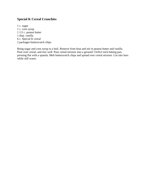# **Special K Cereal Crunchies**

1 c. sugar 1 c. corn syrup 1 1/2 c. peanut butter 1 tbsp. vanilla 6 c. Special K cereal 2 packages butterscotch chips

Bring sugar and corn syrup to a boil. Remove from heat and stir in peanut butter and vanilla. Pour over cereal, and mix well. Pour cereal mixture into a greased 13x9x2-inch baking pan, pressing flat with a spatula. Melt butterscotch chips and spread over cereal mixture. Cut into bars while still warm.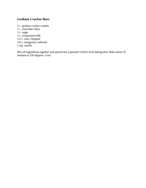# **Graham Cracker Bars**

3 c. graham cracker crumbs 1 c. chocolate chips 1 c. sugar 1 c. evaporated milk 1/2 c. nuts, chopped 1/4 c. margarine, softened 1 tsp. vanilla

Mix all ingredients together and spread into a greased  $13x9x2$ -inch baking dish. Bake about 35 minutes at 350 degrees. Cool.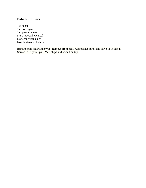## **Babe Ruth Bars**

1 c. sugar 1 c. corn syrup 1 c. peanut butter 5-6 c. Special K cereal 6 oz. chocolate chips 6 oz. butterscotch chips

Bring to boil sugar and syrup. Remove from heat. Add peanut butter and stir. Stir in cereal. Spread in jelly roll pan. Melt chips and spread on top.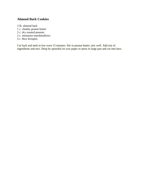### **Almond Bark Cookies**

2 lb. almond bark 1 c. chunky peanut butter 2 c. dry roasted peanuts 2 c. miniature marshmallows 5 c. Rice Krispies

Cut bark and melt in low oven 15 minutes. Stir in peanut butter; mix well. Add rest of ingredients and mix. Drop by spoonful on wax paper or press in large pan and cut into bars.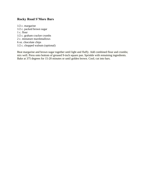## **Rocky Road S'More Bars**

1/2 c. margarine 1/2 c. packed brown sugar 1 c. flour 1/2 c. graham cracker crumbs 2 c. miniature marshmallows 6 oz. chocolate chips 1/2 c. chopped walnuts (optional)

Beat margarine and brown sugar together until light and fluffy. Add combined flour and crumbs; mix well. Press onto bottom of greased 9-inch square pan. Sprinkle with remaining ingredients. Bake at 375 degrees for 15-20 minutes or until golden brown. Cool; cut into bars.